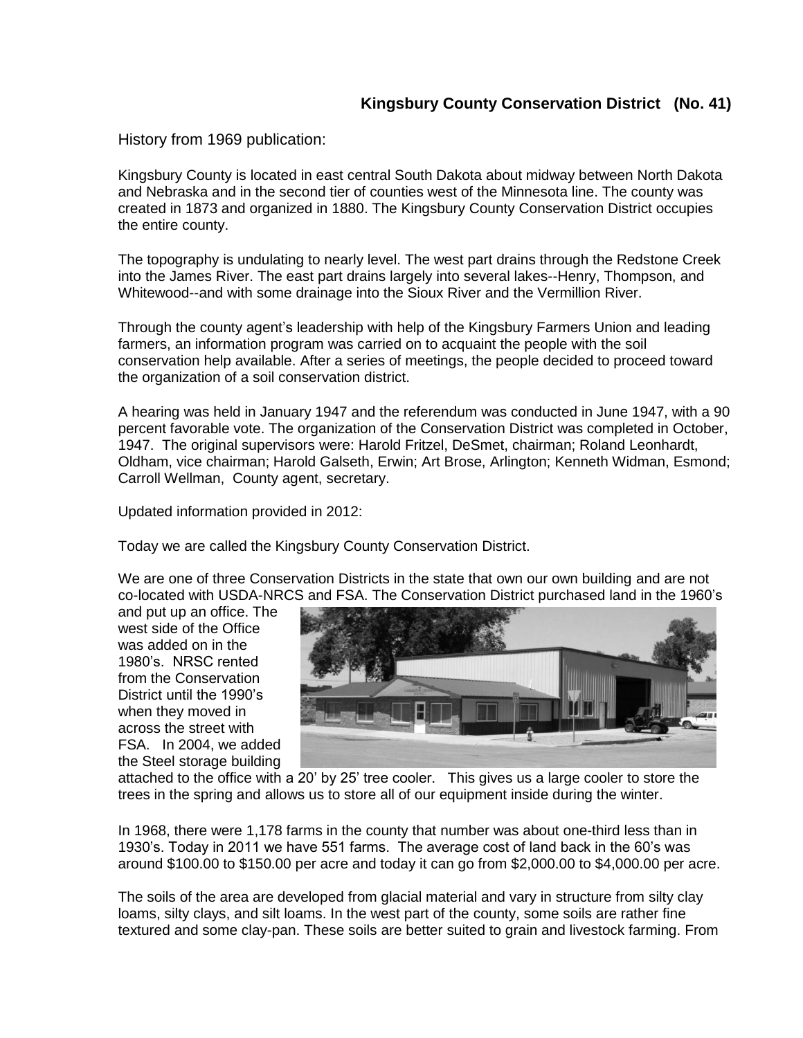## **Kingsbury County Conservation District (No. 41)**

History from 1969 publication:

Kingsbury County is located in east central South Dakota about midway between North Dakota and Nebraska and in the second tier of counties west of the Minnesota line. The county was created in 1873 and organized in 1880. The Kingsbury County Conservation District occupies the entire county.

The topography is undulating to nearly level. The west part drains through the Redstone Creek into the James River. The east part drains largely into several lakes--Henry, Thompson, and Whitewood--and with some drainage into the Sioux River and the Vermillion River.

Through the county agent's leadership with help of the Kingsbury Farmers Union and leading farmers, an information program was carried on to acquaint the people with the soil conservation help available. After a series of meetings, the people decided to proceed toward the organization of a soil conservation district.

A hearing was held in January 1947 and the referendum was conducted in June 1947, with a 90 percent favorable vote. The organization of the Conservation District was completed in October, 1947. The original supervisors were: Harold Fritzel, DeSmet, chairman; Roland Leonhardt, Oldham, vice chairman; Harold Galseth, Erwin; Art Brose, Arlington; Kenneth Widman, Esmond; Carroll Wellman, County agent, secretary.

Updated information provided in 2012:

Today we are called the Kingsbury County Conservation District.

We are one of three Conservation Districts in the state that own our own building and are not co-located with USDA-NRCS and FSA. The Conservation District purchased land in the 1960's

and put up an office. The west side of the Office was added on in the 1980's. NRSC rented from the Conservation District until the 1990's when they moved in across the street with FSA. In 2004, we added the Steel storage building



attached to the office with a 20' by 25' tree cooler. This gives us a large cooler to store the trees in the spring and allows us to store all of our equipment inside during the winter.

In 1968, there were 1,178 farms in the county that number was about one-third less than in 1930's. Today in 2011 we have 551 farms. The average cost of land back in the 60's was around \$100.00 to \$150.00 per acre and today it can go from \$2,000.00 to \$4,000.00 per acre.

The soils of the area are developed from glacial material and vary in structure from silty clay loams, silty clays, and silt loams. In the west part of the county, some soils are rather fine textured and some clay-pan. These soils are better suited to grain and livestock farming. From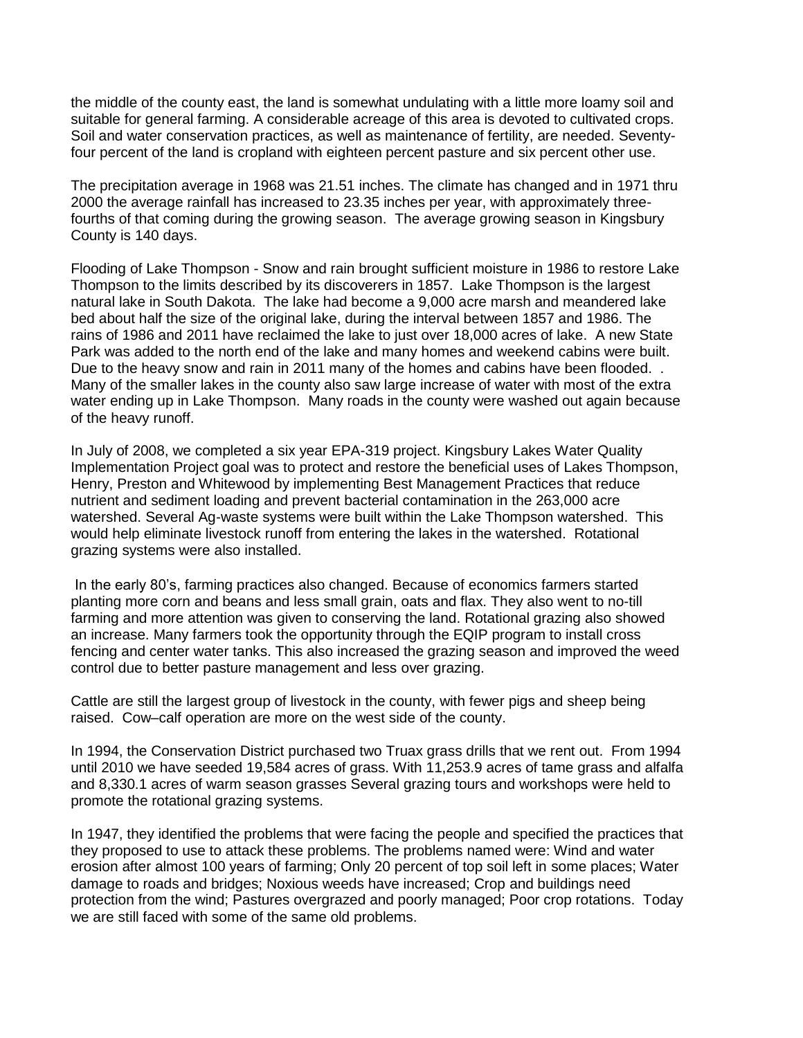the middle of the county east, the land is somewhat undulating with a little more loamy soil and suitable for general farming. A considerable acreage of this area is devoted to cultivated crops. Soil and water conservation practices, as well as maintenance of fertility, are needed. Seventyfour percent of the land is cropland with eighteen percent pasture and six percent other use.

The precipitation average in 1968 was 21.51 inches. The climate has changed and in 1971 thru 2000 the average rainfall has increased to 23.35 inches per year, with approximately threefourths of that coming during the growing season. The average growing season in Kingsbury County is 140 days.

Flooding of Lake Thompson - Snow and rain brought sufficient moisture in 1986 to restore Lake Thompson to the limits described by its discoverers in 1857. Lake Thompson is the largest natural lake in South Dakota. The lake had become a 9,000 acre marsh and meandered lake bed about half the size of the original lake, during the interval between 1857 and 1986. The rains of 1986 and 2011 have reclaimed the lake to just over 18,000 acres of lake. A new State Park was added to the north end of the lake and many homes and weekend cabins were built. Due to the heavy snow and rain in 2011 many of the homes and cabins have been flooded... Many of the smaller lakes in the county also saw large increase of water with most of the extra water ending up in Lake Thompson. Many roads in the county were washed out again because of the heavy runoff.

In July of 2008, we completed a six year EPA-319 project. Kingsbury Lakes Water Quality Implementation Project goal was to protect and restore the beneficial uses of Lakes Thompson, Henry, Preston and Whitewood by implementing Best Management Practices that reduce nutrient and sediment loading and prevent bacterial contamination in the 263,000 acre watershed. Several Ag-waste systems were built within the Lake Thompson watershed. This would help eliminate livestock runoff from entering the lakes in the watershed. Rotational grazing systems were also installed.

In the early 80's, farming practices also changed. Because of economics farmers started planting more corn and beans and less small grain, oats and flax. They also went to no-till farming and more attention was given to conserving the land. Rotational grazing also showed an increase. Many farmers took the opportunity through the EQIP program to install cross fencing and center water tanks. This also increased the grazing season and improved the weed control due to better pasture management and less over grazing.

Cattle are still the largest group of livestock in the county, with fewer pigs and sheep being raised. Cow–calf operation are more on the west side of the county.

In 1994, the Conservation District purchased two Truax grass drills that we rent out. From 1994 until 2010 we have seeded 19,584 acres of grass. With 11,253.9 acres of tame grass and alfalfa and 8,330.1 acres of warm season grasses Several grazing tours and workshops were held to promote the rotational grazing systems.

In 1947, they identified the problems that were facing the people and specified the practices that they proposed to use to attack these problems. The problems named were: Wind and water erosion after almost 100 years of farming; Only 20 percent of top soil left in some places; Water damage to roads and bridges; Noxious weeds have increased; Crop and buildings need protection from the wind; Pastures overgrazed and poorly managed; Poor crop rotations. Today we are still faced with some of the same old problems.